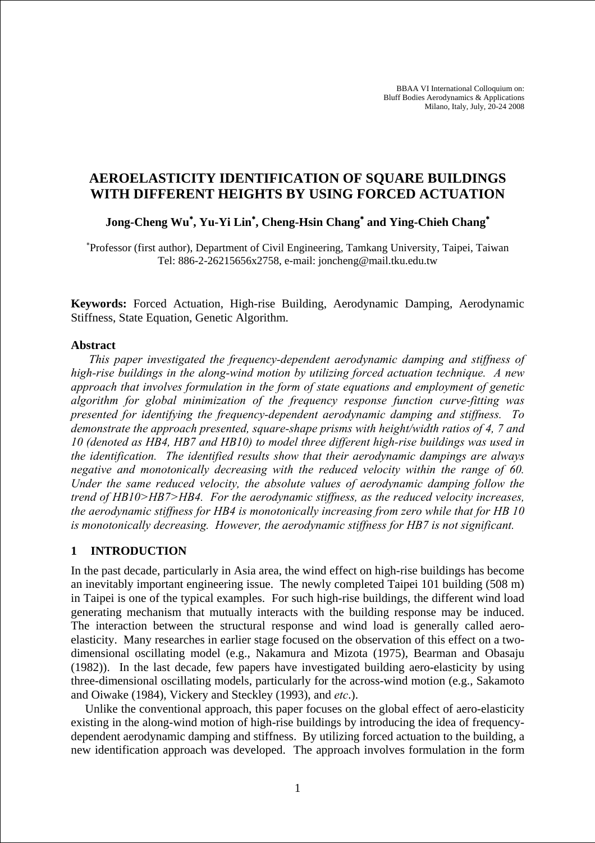BBAA VI International Colloquium on: Bluff Bodies Aerodynamics & Applications Milano, Italy, July, 20-24 2008

# **AEROELASTICITY IDENTIFICATION OF SQUARE BUILDINGS WITH DIFFERENT HEIGHTS BY USING FORCED ACTUATION**

## **Jong-Cheng Wu**<sup>∗</sup> **, Yu-Yi Lin**<sup>∗</sup> **, Cheng-Hsin Chang**<sup>∗</sup>  **and Ying-Chieh Chang**<sup>∗</sup>

∗ Professor (first author), Department of Civil Engineering, Tamkang University, Taipei, Taiwan Tel: 886-2-26215656x2758, e-mail: joncheng@mail.tku.edu.tw

**Keywords:** Forced Actuation, High-rise Building, Aerodynamic Damping, Aerodynamic Stiffness, State Equation, Genetic Algorithm.

#### **Abstract**

*This paper investigated the frequency-dependent aerodynamic damping and stiffness of high-rise buildings in the along-wind motion by utilizing forced actuation technique. A new approach that involves formulation in the form of state equations and employment of genetic algorithm for global minimization of the frequency response function curve-fitting was presented for identifying the frequency-dependent aerodynamic damping and stiffness. To demonstrate the approach presented, square-shape prisms with height/width ratios of 4, 7 and 10 (denoted as HB4, HB7 and HB10) to model three different high-rise buildings was used in the identification. The identified results show that their aerodynamic dampings are always negative and monotonically decreasing with the reduced velocity within the range of 60. Under the same reduced velocity, the absolute values of aerodynamic damping follow the trend of HB10>HB7>HB4. For the aerodynamic stiffness, as the reduced velocity increases, the aerodynamic stiffness for HB4 is monotonically increasing from zero while that for HB 10 is monotonically decreasing. However, the aerodynamic stiffness for HB7 is not significant.* 

#### **1 INTRODUCTION**

In the past decade, particularly in Asia area, the wind effect on high-rise buildings has become an inevitably important engineering issue. The newly completed Taipei 101 building (508 m) in Taipei is one of the typical examples. For such high-rise buildings, the different wind load generating mechanism that mutually interacts with the building response may be induced. The interaction between the structural response and wind load is generally called aeroelasticity. Many researches in earlier stage focused on the observation of this effect on a twodimensional oscillating model (e.g., Nakamura and Mizota (1975), Bearman and Obasaju (1982)). In the last decade, few papers have investigated building aero-elasticity by using three-dimensional oscillating models, particularly for the across-wind motion (e.g., Sakamoto and Oiwake (1984), Vickery and Steckley (1993), and *etc*.).

Unlike the conventional approach, this paper focuses on the global effect of aero-elasticity existing in the along-wind motion of high-rise buildings by introducing the idea of frequencydependent aerodynamic damping and stiffness. By utilizing forced actuation to the building, a new identification approach was developed. The approach involves formulation in the form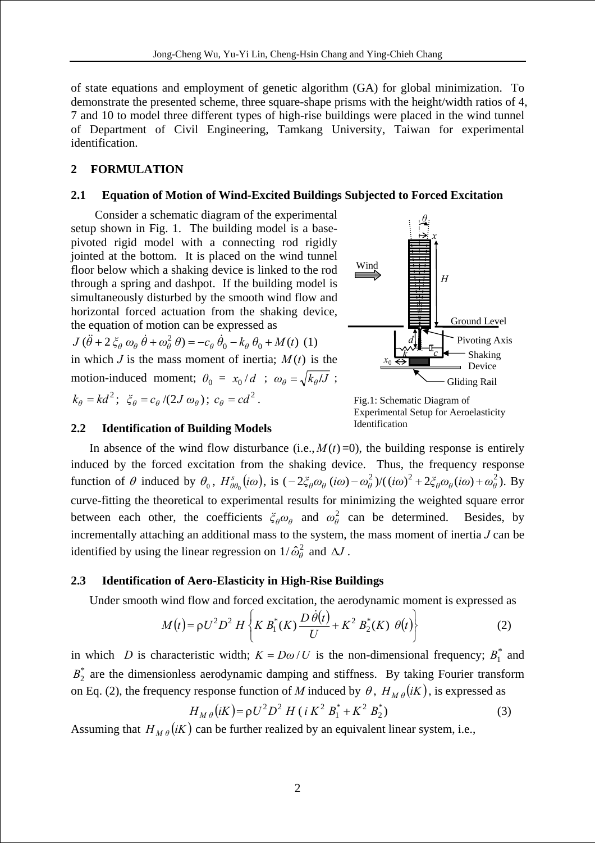of state equations and employment of genetic algorithm (GA) for global minimization. To demonstrate the presented scheme, three square-shape prisms with the height/width ratios of 4, 7 and 10 to model three different types of high-rise buildings were placed in the wind tunnel of Department of Civil Engineering, Tamkang University, Taiwan for experimental identification.

## **2 FORMULATION**

### **2.1 Equation of Motion of Wind-Excited Buildings Subjected to Forced Excitation**

Consider a schematic diagram of the experimental setup shown in Fig. 1. The building model is a basepivoted rigid model with a connecting rod rigidly jointed at the bottom. It is placed on the wind tunnel floor below which a shaking device is linked to the rod through a spring and dashpot. If the building model is simultaneously disturbed by the smooth wind flow and horizontal forced actuation from the shaking device, the equation of motion can be expressed as

 $J(\ddot{\theta} + 2 \xi_{\theta} \omega_{\theta} \dot{\theta} + \omega_{\theta}^{2} \theta) = -c_{\theta} \dot{\theta}_{0} - k_{\theta} \theta_{0} + M(t)$  (1) in which *J* is the mass moment of inertia;  $M(t)$  is the motion-induced moment;  $\theta_0 = x_0 / d$  ;  $\omega_\theta = \sqrt{k_\theta / J}$ ;  $k_{\theta} = kd^2; \ \xi_{\theta} = c_{\theta}/(2J\omega_{\theta}); \ c_{\theta} = cd^2.$ 



Fig.1: Schematic Diagram of Experimental Setup for Aeroelasticity Identification

#### **2.2 Identification of Building Models**

In absence of the wind flow disturbance (i.e.,  $M(t)=0$ ), the building response is entirely induced by the forced excitation from the shaking device. Thus, the frequency response function of  $\theta$  induced by  $\theta_0$ ,  $H_{\theta\theta_0}^s(i\omega)$ , is  $(-2\xi_\theta\omega_\theta(i\omega)-\omega_\theta^2)/((i\omega)^2+2\xi_\theta\omega_\theta(i\omega)+\omega_\theta^2)$ . By curve-fitting the theoretical to experimental results for minimizing the weighted square error between each other, the coefficients  $\zeta_{\theta}\omega_{\theta}$  and  $\omega_{\theta}^2$  can be determined. Besides, by incrementally attaching an additional mass to the system, the mass moment of inertia *J* can be identified by using the linear regression on  $1/\hat{\omega}_{\theta}^2$  and  $\Delta J$ .

## **2.3 Identification of Aero-Elasticity in High-Rise Buildings**

Under smooth wind flow and forced excitation, the aerodynamic moment is expressed as

$$
M(t) = \rho U^2 D^2 H \left\{ K B_1^*(K) \frac{D \dot{\theta}(t)}{U} + K^2 B_2^*(K) \theta(t) \right\}
$$
 (2)

in which *D* is characteristic width;  $K = D\omega/U$  is the non-dimensional frequency;  $B_1^*$  and  $B_2^*$  are the dimensionless aerodynamic damping and stiffness. By taking Fourier transform on Eq. (2), the frequency response function of *M* induced by  $\theta$ ,  $H_{M\theta}(iK)$ , is expressed as 1

$$
H_{M\theta}(iK) = \rho U^2 D^2 H (i K^2 B_1^* + K^2 B_2^*)
$$
\n(3)

Assuming that  $H_{M\theta}(iK)$  can be further realized by an equivalent linear system, i.e.,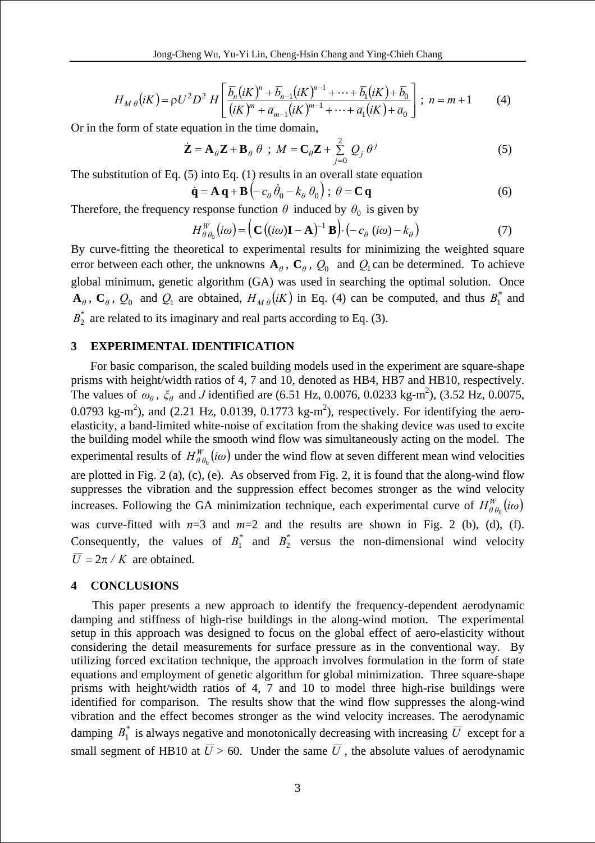$$
H_{M\theta}(iK) = \rho U^2 D^2 H \left[ \frac{\overline{b}_n (iK)^n + \overline{b}_{n-1} (iK)^{n-1} + \dots + \overline{b}_1 (iK) + \overline{b}_0}{(iK)^m + \overline{a}_{m-1} (iK)^{m-1} + \dots + \overline{a}_1 (iK) + \overline{a}_0} \right]; \ n = m + 1 \qquad (4)
$$

Or in the form of state equation in the time domain,

$$
\dot{\mathbf{Z}} = \mathbf{A}_{\theta} \mathbf{Z} + \mathbf{B}_{\theta} \theta \; ; \; M = \mathbf{C}_{\theta} \mathbf{Z} + \sum_{j=0}^{2} Q_{j} \theta^{j}
$$
 (5)

The substitution of Eq. (5) into Eq. (1) results in an overall state equation

$$
\dot{\mathbf{q}} = \mathbf{A} \, \mathbf{q} + \mathbf{B} \left( -c_{\theta} \, \dot{\theta}_{0} - k_{\theta} \, \theta_{0} \right); \ \theta = \mathbf{C} \, \mathbf{q} \tag{6}
$$

Therefore, the frequency response function  $\theta$  induced by  $\theta_0$  is given by

$$
H_{\theta\theta_0}^W(i\omega) = \left( \mathbf{C} \left( (i\omega) \mathbf{I} - \mathbf{A} \right)^{-1} \mathbf{B} \right) \cdot \left( -c_\theta \left( i\omega \right) - k_\theta \right) \tag{7}
$$

By curve-fitting the theoretical to experimental results for minimizing the weighted square error between each other, the unknowns  $A_{\theta}$ ,  $C_{\theta}$ ,  $Q_0$  and  $Q_1$  can be determined. To achieve global minimum, genetic algorithm (GA) was used in searching the optimal solution. Once  $\mathbf{A}_{\theta}$ ,  $\mathbf{C}_{\theta}$ ,  $Q_0$  and  $Q_1$  are obtained,  $H_{M\theta}(iK)$  in Eq. (4) can be computed, and thus  $B_1^*$  and  $B_2^*$  are related to its imaginary and real parts according to Eq. (3).

## **3 EXPERIMENTAL IDENTIFICATION**

For basic comparison, the scaled building models used in the experiment are square-shape prisms with height/width ratios of 4, 7 and 10, denoted as HB4, HB7 and HB10, respectively. The values of  $\omega_{\theta}$ ,  $\xi_{\theta}$  and *J* identified are (6.51 Hz, 0.0076, 0.0233 kg-m<sup>2</sup>), (3.52 Hz, 0.0075, 0.0793 kg-m<sup>2</sup>), and (2.21 Hz, 0.0139, 0.1773 kg-m<sup>2</sup>), respectively. For identifying the aeroelasticity, a band-limited white-noise of excitation from the shaking device was used to excite the building model while the smooth wind flow was simultaneously acting on the model. The experimental results of  $H_{\theta_{\theta_0}}^W(i\omega)$  under the wind flow at seven different mean wind velocities are plotted in Fig. 2 (a), (c), (e). As observed from Fig. 2, it is found that the along-wind flow suppresses the vibration and the suppression effect becomes stronger as the wind velocity increases. Following the GA minimization technique, each experimental curve of  $H_{\theta\theta_0}^W(i\omega)$ was curve-fitted with *n*=3 and *m*=2 and the results are shown in Fig. 2 (b), (d), (f). Consequently, the values of  $B_1^*$  and  $B_2^*$  versus the non-dimensional wind velocity  $\overline{U} = 2\pi / K$  are obtained.

#### **4 CONCLUSIONS**

This paper presents a new approach to identify the frequency-dependent aerodynamic damping and stiffness of high-rise buildings in the along-wind motion. The experimental setup in this approach was designed to focus on the global effect of aero-elasticity without considering the detail measurements for surface pressure as in the conventional way. By utilizing forced excitation technique, the approach involves formulation in the form of state equations and employment of genetic algorithm for global minimization. Three square-shape prisms with height/width ratios of 4, 7 and 10 to model three high-rise buildings were identified for comparison. The results show that the wind flow suppresses the along-wind vibration and the effect becomes stronger as the wind velocity increases. The aerodynamic damping  $B_1^*$  is always negative and monotonically decreasing with increasing  $\overline{U}$  except for a small segment of HB10 at  $\overline{U} > 60$ . Under the same  $\overline{U}$ , the absolute values of aerodynamic